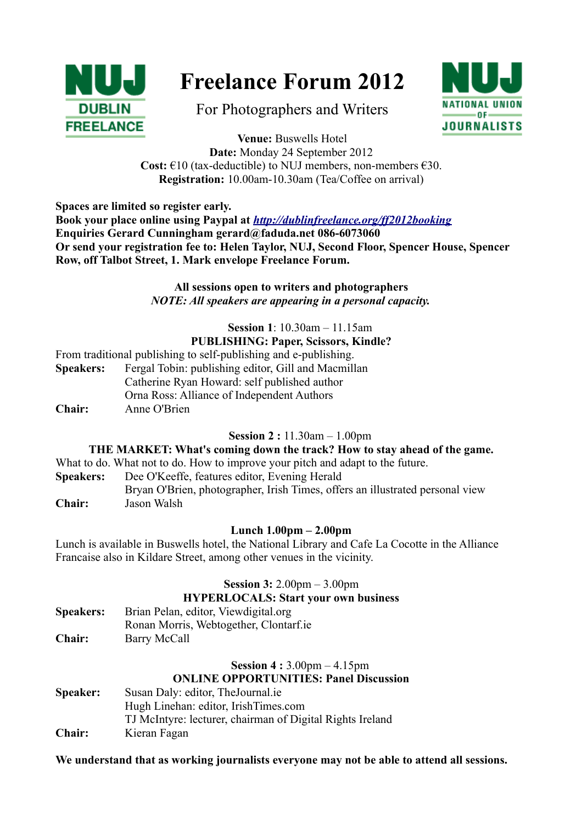

# **Freelance Forum 2012**

For Photographers and Writers



**Venue:** Buswells Hotel **Date:** Monday 24 September 2012 **Cost:**  $\epsilon$ 10 (tax-deductible) to NUJ members, non-members  $\epsilon$ 30. **Registration:** 10.00am-10.30am (Tea/Coffee on arrival)

**Spaces are limited so register early.** 

**Book your place online using Paypal at** *<http://dublinfreelance.org/ff2012booking>* **Enquiries Gerard Cunningham gerard@faduda.net 086-6073060 Or send your registration fee to: Helen Taylor, NUJ, Second Floor, Spencer House, Spencer Row, off Talbot Street, 1. Mark envelope Freelance Forum.**

#### **All sessions open to writers and photographers** *NOTE: All speakers are appearing in a personal capacity.*

#### **Session 1**: 10.30am – 11.15am **PUBLISHING: Paper, Scissors, Kindle?**

From traditional publishing to self-publishing and e-publishing. **Speakers:** Fergal Tobin: publishing editor, Gill and Macmillan Catherine Ryan Howard: self published author Orna Ross: Alliance of Independent Authors **Chair:** Anne O'Brien

**Session 2 :** 11.30am – 1.00pm

#### **THE MARKET: What's coming down the track? How to stay ahead of the game.**

What to do. What not to do. How to improve your pitch and adapt to the future.

**Speakers:** Dee O'Keeffe, features editor, Evening Herald

Bryan O'Brien, photographer, Irish Times, offers an illustrated personal view **Chair:** Jason Walsh

### **Lunch 1.00pm – 2.00pm**

Lunch is available in Buswells hotel, the National Library and Cafe La Cocotte in the Alliance Francaise also in Kildare Street, among other venues in the vicinity.

**Session 3:** 2.00pm – 3.00pm

### **HYPERLOCALS: Start your own business**

| <b>Speakers:</b> | Brian Pelan, editor, Viewdigital.org   |
|------------------|----------------------------------------|
|                  | Ronan Morris, Webtogether, Clontarf.ie |
| <b>Chair:</b>    | Barry McCall                           |

### **Session 4 :** 3.00pm – 4.15pm **ONLINE OPPORTUNITIES: Panel Discussion**

**Speaker:** Susan Daly: editor, TheJournal.ie Hugh Linehan: editor, IrishTimes.com TJ McIntyre: lecturer, chairman of Digital Rights Ireland **Chair:** Kieran Fagan

**We understand that as working journalists everyone may not be able to attend all sessions.**